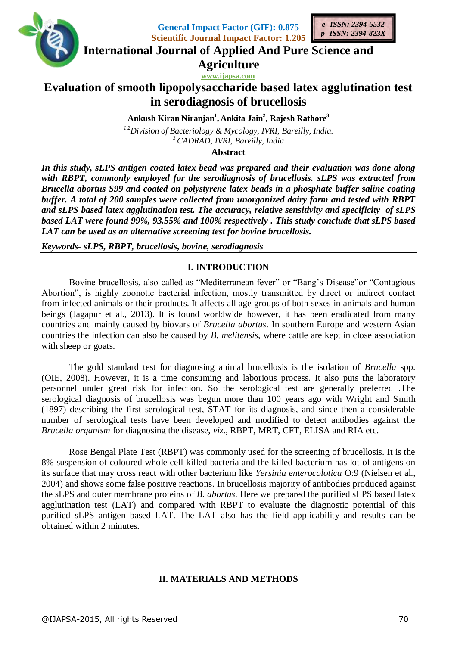

**General Impact Factor (GIF): 0.875 Scientific Journal Impact Factor: 1.205**



**International Journal of Applied And Pure Science and**

**Agriculture**

# **www.ijapsa.com Evaluation of smooth lipopolysaccharide based latex agglutination test in serodiagnosis of brucellosis**

**Ankush Kiran Niranjan<sup>1</sup> , Ankita Jain<sup>2</sup> , Rajesh Rathore<sup>3</sup>**

*1,2Division of Bacteriology & Mycology, IVRI, Bareilly, India. <sup>3</sup>CADRAD, IVRI, Bareilly, India*

**Abstract**

*In this study, sLPS antigen coated latex bead was prepared and their evaluation was done along with RBPT, commonly employed for the serodiagnosis of brucellosis. sLPS was extracted from Brucella abortus S99 and coated on polystyrene latex beads in a phosphate buffer saline coating buffer. A total of 200 samples were collected from unorganized dairy farm and tested with RBPT and sLPS based latex agglutination test. The accuracy, relative sensitivity and specificity of sLPS based LAT were found 99%, 93.55% and 100% respectively . This study conclude that sLPS based LAT can be used as an alternative screening test for bovine brucellosis.*

*Keywords- sLPS, RBPT, brucellosis, bovine, serodiagnosis*

# **I. INTRODUCTION**

Bovine brucellosis, also called as "Mediterranean fever" or "Bang's Disease"or "Contagious Abortion", is highly zoonotic bacterial infection, mostly transmitted by direct or indirect contact from infected animals or their products. It affects all age groups of both sexes in animals and human beings (Jagapur et al., 2013). It is found worldwide however, it has been eradicated from many countries and mainly caused by biovars of *Brucella abortus*. In southern Europe and western Asian countries the infection can also be caused by *B. melitensis,* where cattle are kept in close association with sheep or goats.

The gold standard test for diagnosing animal brucellosis is the isolation of *Brucella* spp. (OIE, 2008). However, it is a time consuming and laborious process. It also puts the laboratory personnel under great risk for infection. So the serological test are generally preferred .The serological diagnosis of brucellosis was begun more than 100 years ago with Wright and Smith (1897) describing the first serological test, STAT for its diagnosis, and since then a considerable number of serological tests have been developed and modified to detect antibodies against the *Brucella organism* for diagnosing the disease, *viz*., RBPT, MRT, CFT, ELISA and RIA etc.

Rose Bengal Plate Test (RBPT) was commonly used for the screening of brucellosis. It is the 8% suspension of coloured whole cell killed bacteria and the killed bacterium has lot of antigens on its surface that may cross react with other bacterium like *Yersinia enterocolotica* O:9 (Nielsen et al., 2004) and shows some false positive reactions. In brucellosis majority of antibodies produced against the sLPS and outer membrane proteins of *B. abortus*. Here we prepared the purified sLPS based latex agglutination test (LAT) and compared with RBPT to evaluate the diagnostic potential of this purified sLPS antigen based LAT. The LAT also has the field applicability and results can be obtained within 2 minutes.

#### **II. MATERIALS AND METHODS**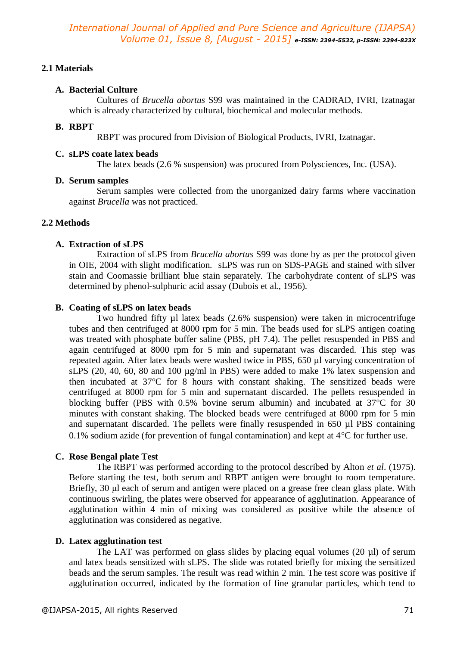# **2.1 Materials**

## **A. Bacterial Culture**

Cultures of *Brucella abortus* S99 was maintained in the CADRAD, IVRI, Izatnagar which is already characterized by cultural, biochemical and molecular methods.

# **B. RBPT**

RBPT was procured from Division of Biological Products, IVRI, Izatnagar.

### **C. sLPS coate latex beads**

The latex beads (2.6 % suspension) was procured from Polysciences, Inc. (USA).

#### **D. Serum samples**

Serum samples were collected from the unorganized dairy farms where vaccination against *Brucella* was not practiced.

## **2.2 Methods**

#### **A. Extraction of sLPS**

Extraction of sLPS from *Brucella abortus* S99 was done by as per the protocol given in OIE, 2004 with slight modification. sLPS was run on SDS-PAGE and stained with silver stain and Coomassie brilliant blue stain separately. The carbohydrate content of sLPS was determined by phenol-sulphuric acid assay (Dubois et al., 1956).

## **B. Coating of sLPS on latex beads**

Two hundred fifty ul latex beads (2.6% suspension) were taken in microcentrifuge tubes and then centrifuged at 8000 rpm for 5 min. The beads used for sLPS antigen coating was treated with phosphate buffer saline (PBS, pH 7.4). The pellet resuspended in PBS and again centrifuged at 8000 rpm for 5 min and supernatant was discarded. This step was repeated again. After latex beads were washed twice in PBS, 650 µl varying concentration of sLPS (20, 40, 60, 80 and 100 µg/ml in PBS) were added to make 1% latex suspension and then incubated at 37°C for 8 hours with constant shaking. The sensitized beads were centrifuged at 8000 rpm for 5 min and supernatant discarded. The pellets resuspended in blocking buffer (PBS with 0.5% bovine serum albumin) and incubated at 37°C for 30 minutes with constant shaking. The blocked beads were centrifuged at 8000 rpm for 5 min and supernatant discarded. The pellets were finally resuspended in 650 ul PBS containing 0.1% sodium azide (for prevention of fungal contamination) and kept at  $4^{\circ}$ C for further use.

## **C. Rose Bengal plate Test**

The RBPT was performed according to the protocol described by Alton *et al*. (1975). Before starting the test, both serum and RBPT antigen were brought to room temperature. Briefly, 30 μl each of serum and antigen were placed on a grease free clean glass plate. With continuous swirling, the plates were observed for appearance of agglutination. Appearance of agglutination within 4 min of mixing was considered as positive while the absence of agglutination was considered as negative.

# **D. Latex agglutination test**

The LAT was performed on glass slides by placing equal volumes (20 µl) of serum and latex beads sensitized with sLPS. The slide was rotated briefly for mixing the sensitized beads and the serum samples. The result was read within 2 min. The test score was positive if agglutination occurred, indicated by the formation of fine granular particles, which tend to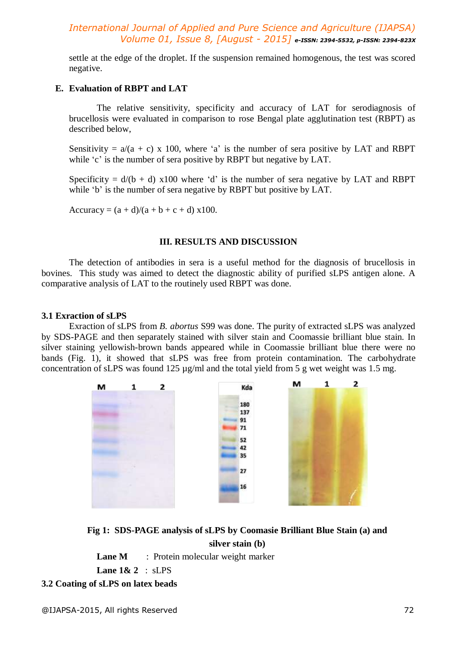# *International Journal of Applied and Pure Science and Agriculture (IJAPSA) Volume 01, Issue 8, [August - 2015] e-ISSN: 2394-5532, p-ISSN: 2394-823X*

settle at the edge of the droplet. If the suspension remained homogenous, the test was scored negative.

#### **E. Evaluation of RBPT and LAT**

The relative sensitivity, specificity and accuracy of LAT for serodiagnosis of brucellosis were evaluated in comparison to rose Bengal plate agglutination test (RBPT) as described below,

Sensitivity =  $a/(a + c)$  x 100, where 'a' is the number of sera positive by LAT and RBPT while 'c' is the number of sera positive by RBPT but negative by LAT.

Specificity =  $d/(b + d)$  x100 where 'd' is the number of sera negative by LAT and RBPT while 'b' is the number of sera negative by RBPT but positive by LAT.

Accuracy =  $(a + d)/(a + b + c + d)$  x100.

#### **III. RESULTS AND DISCUSSION**

The detection of antibodies in sera is a useful method for the diagnosis of brucellosis in bovines. This study was aimed to detect the diagnostic ability of purified sLPS antigen alone. A comparative analysis of LAT to the routinely used RBPT was done.

#### **3.1 Exraction of sLPS**

Exraction of sLPS from *B. abortus* S99 was done. The purity of extracted sLPS was analyzed by SDS-PAGE and then separately stained with silver stain and Coomassie brilliant blue stain. In silver staining yellowish-brown bands appeared while in Coomassie brilliant blue there were no bands (Fig. 1), it showed that sLPS was free from protein contamination. The carbohydrate concentration of sLPS was found 125 µg/ml and the total yield from 5 g wet weight was 1.5 mg.



**Fig 1: SDS-PAGE analysis of sLPS by Coomasie Brilliant Blue Stain (a) and silver stain (b)**

**Lane M** : Protein molecular weight marker

**Lane 1& 2** : sLPS

#### **3.2 Coating of sLPS on latex beads**